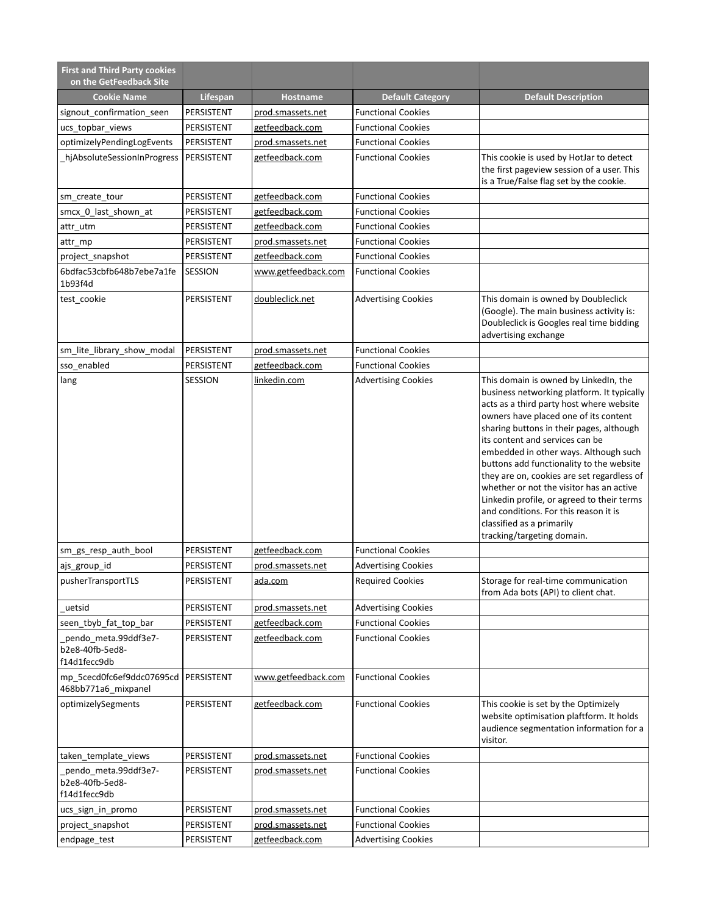| <b>First and Third Party cookies</b><br>on the GetFeedback Site |                 |                     |                            |                                                                                                                                                                                                                                                                                                                                                                                                                                                                                                                                                                                          |
|-----------------------------------------------------------------|-----------------|---------------------|----------------------------|------------------------------------------------------------------------------------------------------------------------------------------------------------------------------------------------------------------------------------------------------------------------------------------------------------------------------------------------------------------------------------------------------------------------------------------------------------------------------------------------------------------------------------------------------------------------------------------|
| <b>Cookie Name</b>                                              | <b>Lifespan</b> | Hostname            | <b>Default Category</b>    | <b>Default Description</b>                                                                                                                                                                                                                                                                                                                                                                                                                                                                                                                                                               |
| signout_confirmation_seen                                       | PERSISTENT      | prod.smassets.net   | <b>Functional Cookies</b>  |                                                                                                                                                                                                                                                                                                                                                                                                                                                                                                                                                                                          |
| ucs_topbar_views                                                | PERSISTENT      | getfeedback.com     | <b>Functional Cookies</b>  |                                                                                                                                                                                                                                                                                                                                                                                                                                                                                                                                                                                          |
| optimizelyPendingLogEvents                                      | PERSISTENT      | prod.smassets.net   | <b>Functional Cookies</b>  |                                                                                                                                                                                                                                                                                                                                                                                                                                                                                                                                                                                          |
| hjAbsoluteSessionInProgress                                     | PERSISTENT      | getfeedback.com     | <b>Functional Cookies</b>  | This cookie is used by HotJar to detect<br>the first pageview session of a user. This<br>is a True/False flag set by the cookie.                                                                                                                                                                                                                                                                                                                                                                                                                                                         |
| sm create tour                                                  | PERSISTENT      | getfeedback.com     | <b>Functional Cookies</b>  |                                                                                                                                                                                                                                                                                                                                                                                                                                                                                                                                                                                          |
| smcx_0_last_shown_at                                            | PERSISTENT      | getfeedback.com     | <b>Functional Cookies</b>  |                                                                                                                                                                                                                                                                                                                                                                                                                                                                                                                                                                                          |
| attr_utm                                                        | PERSISTENT      | getfeedback.com     | <b>Functional Cookies</b>  |                                                                                                                                                                                                                                                                                                                                                                                                                                                                                                                                                                                          |
| attr_mp                                                         | PERSISTENT      | prod.smassets.net   | <b>Functional Cookies</b>  |                                                                                                                                                                                                                                                                                                                                                                                                                                                                                                                                                                                          |
| project_snapshot                                                | PERSISTENT      | getfeedback.com     | <b>Functional Cookies</b>  |                                                                                                                                                                                                                                                                                                                                                                                                                                                                                                                                                                                          |
| 6bdfac53cbfb648b7ebe7a1fe<br>1b93f4d                            | SESSION         | www.getfeedback.com | <b>Functional Cookies</b>  |                                                                                                                                                                                                                                                                                                                                                                                                                                                                                                                                                                                          |
| test_cookie                                                     | PERSISTENT      | doubleclick.net     | <b>Advertising Cookies</b> | This domain is owned by Doubleclick<br>(Google). The main business activity is:<br>Doubleclick is Googles real time bidding<br>advertising exchange                                                                                                                                                                                                                                                                                                                                                                                                                                      |
| sm_lite_library_show_modal                                      | PERSISTENT      | prod.smassets.net   | <b>Functional Cookies</b>  |                                                                                                                                                                                                                                                                                                                                                                                                                                                                                                                                                                                          |
| sso_enabled                                                     | PERSISTENT      | getfeedback.com     | <b>Functional Cookies</b>  |                                                                                                                                                                                                                                                                                                                                                                                                                                                                                                                                                                                          |
| lang                                                            | SESSION         | linkedin.com        | <b>Advertising Cookies</b> | This domain is owned by LinkedIn, the<br>business networking platform. It typically<br>acts as a third party host where website<br>owners have placed one of its content<br>sharing buttons in their pages, although<br>its content and services can be<br>embedded in other ways. Although such<br>buttons add functionality to the website<br>they are on, cookies are set regardless of<br>whether or not the visitor has an active<br>Linkedin profile, or agreed to their terms<br>and conditions. For this reason it is<br>classified as a primarily<br>tracking/targeting domain. |
| sm_gs_resp_auth_bool                                            | PERSISTENT      | getfeedback.com     | <b>Functional Cookies</b>  |                                                                                                                                                                                                                                                                                                                                                                                                                                                                                                                                                                                          |
| ajs_group_id                                                    | PERSISTENT      | prod.smassets.net   | <b>Advertising Cookies</b> |                                                                                                                                                                                                                                                                                                                                                                                                                                                                                                                                                                                          |
| pusherTransportTLS                                              | PERSISTENT      | ada.com             | <b>Required Cookies</b>    | Storage for real-time communication<br>from Ada bots (API) to client chat.                                                                                                                                                                                                                                                                                                                                                                                                                                                                                                               |
| uetsid                                                          | PERSISTENT      | prod.smassets.net   | <b>Advertising Cookies</b> |                                                                                                                                                                                                                                                                                                                                                                                                                                                                                                                                                                                          |
| seen tbyb fat top bar                                           | PERSISTENT      | getfeedback.com     | <b>Functional Cookies</b>  |                                                                                                                                                                                                                                                                                                                                                                                                                                                                                                                                                                                          |
| _pendo_meta.99ddf3e7-<br>b2e8-40fb-5ed8-<br>f14d1fecc9db        | PERSISTENT      | getfeedback.com     | <b>Functional Cookies</b>  |                                                                                                                                                                                                                                                                                                                                                                                                                                                                                                                                                                                          |
| mp_5cecd0fc6ef9ddc07695cd  PERSISTENT<br>468bb771a6 mixpanel    |                 | www.getfeedback.com | <b>Functional Cookies</b>  |                                                                                                                                                                                                                                                                                                                                                                                                                                                                                                                                                                                          |
| optimizelySegments                                              | PERSISTENT      | getfeedback.com     | <b>Functional Cookies</b>  | This cookie is set by the Optimizely<br>website optimisation plaftform. It holds<br>audience segmentation information for a<br>visitor.                                                                                                                                                                                                                                                                                                                                                                                                                                                  |
| taken_template_views                                            | PERSISTENT      | prod.smassets.net   | <b>Functional Cookies</b>  |                                                                                                                                                                                                                                                                                                                                                                                                                                                                                                                                                                                          |
| pendo_meta.99ddf3e7-<br>b2e8-40fb-5ed8-<br>f14d1fecc9db         | PERSISTENT      | prod.smassets.net   | <b>Functional Cookies</b>  |                                                                                                                                                                                                                                                                                                                                                                                                                                                                                                                                                                                          |
| ucs_sign_in_promo                                               | PERSISTENT      | prod.smassets.net   | <b>Functional Cookies</b>  |                                                                                                                                                                                                                                                                                                                                                                                                                                                                                                                                                                                          |
| project_snapshot                                                | PERSISTENT      | prod.smassets.net   | <b>Functional Cookies</b>  |                                                                                                                                                                                                                                                                                                                                                                                                                                                                                                                                                                                          |
| endpage_test                                                    | PERSISTENT      | getfeedback.com     | <b>Advertising Cookies</b> |                                                                                                                                                                                                                                                                                                                                                                                                                                                                                                                                                                                          |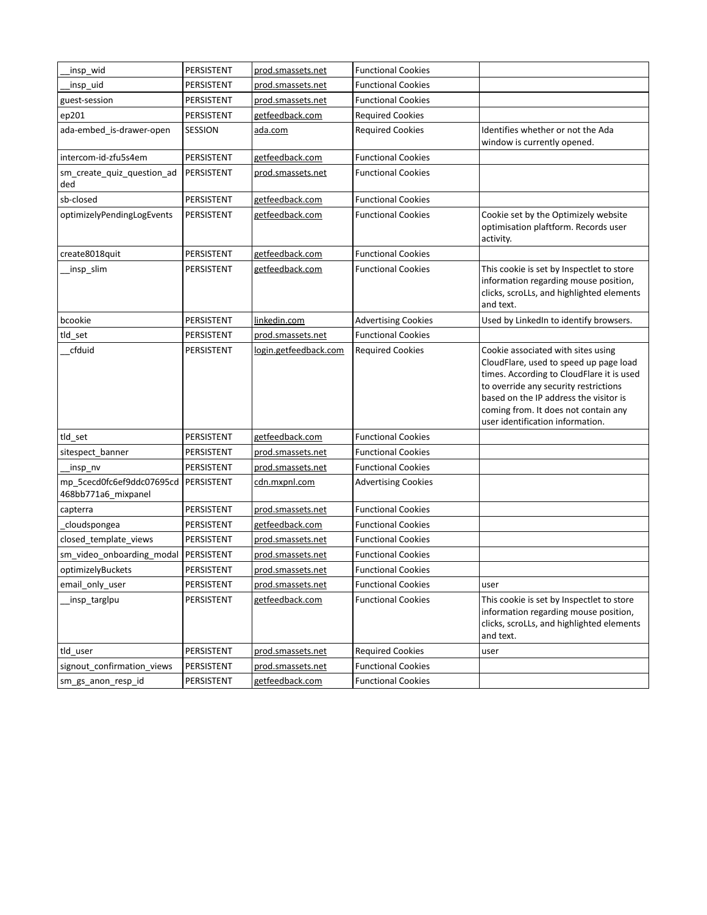| _insp_wid                                        | PERSISTENT | prod.smassets.net     | <b>Functional Cookies</b>  |                                                                                                                                                                                                                                                                                          |
|--------------------------------------------------|------------|-----------------------|----------------------------|------------------------------------------------------------------------------------------------------------------------------------------------------------------------------------------------------------------------------------------------------------------------------------------|
| insp_uid                                         | PERSISTENT | prod.smassets.net     | <b>Functional Cookies</b>  |                                                                                                                                                                                                                                                                                          |
| guest-session                                    | PERSISTENT | prod.smassets.net     | <b>Functional Cookies</b>  |                                                                                                                                                                                                                                                                                          |
| ep201                                            | PERSISTENT | getfeedback.com       | <b>Required Cookies</b>    |                                                                                                                                                                                                                                                                                          |
| ada-embed_is-drawer-open                         | SESSION    | ada.com               | <b>Required Cookies</b>    | Identifies whether or not the Ada<br>window is currently opened.                                                                                                                                                                                                                         |
| intercom-id-zfu5s4em                             | PERSISTENT | getfeedback.com       | <b>Functional Cookies</b>  |                                                                                                                                                                                                                                                                                          |
| sm_create_quiz_question_ad<br>ded                | PERSISTENT | prod.smassets.net     | <b>Functional Cookies</b>  |                                                                                                                                                                                                                                                                                          |
| sb-closed                                        | PERSISTENT | getfeedback.com       | <b>Functional Cookies</b>  |                                                                                                                                                                                                                                                                                          |
| optimizelyPendingLogEvents                       | PERSISTENT | getfeedback.com       | <b>Functional Cookies</b>  | Cookie set by the Optimizely website<br>optimisation plaftform. Records user<br>activity.                                                                                                                                                                                                |
| create8018quit                                   | PERSISTENT | getfeedback.com       | <b>Functional Cookies</b>  |                                                                                                                                                                                                                                                                                          |
| insp_slim                                        | PERSISTENT | getfeedback.com       | <b>Functional Cookies</b>  | This cookie is set by Inspectlet to store<br>information regarding mouse position,<br>clicks, scroLLs, and highlighted elements<br>and text.                                                                                                                                             |
| bcookie                                          | PERSISTENT | linkedin.com          | <b>Advertising Cookies</b> | Used by LinkedIn to identify browsers.                                                                                                                                                                                                                                                   |
| tld_set                                          | PERSISTENT | prod.smassets.net     | <b>Functional Cookies</b>  |                                                                                                                                                                                                                                                                                          |
| cfduid                                           | PERSISTENT | login.getfeedback.com | <b>Required Cookies</b>    | Cookie associated with sites using<br>CloudFlare, used to speed up page load<br>times. According to CloudFlare it is used<br>to override any security restrictions<br>based on the IP address the visitor is<br>coming from. It does not contain any<br>user identification information. |
| tld_set                                          | PERSISTENT | getfeedback.com       | <b>Functional Cookies</b>  |                                                                                                                                                                                                                                                                                          |
| sitespect_banner                                 | PERSISTENT | prod.smassets.net     | <b>Functional Cookies</b>  |                                                                                                                                                                                                                                                                                          |
| insp_nv                                          | PERSISTENT | prod.smassets.net     | <b>Functional Cookies</b>  |                                                                                                                                                                                                                                                                                          |
| mp_5cecd0fc6ef9ddc07695cd<br>468bb771a6_mixpanel | PERSISTENT | cdn.mxpnl.com         | <b>Advertising Cookies</b> |                                                                                                                                                                                                                                                                                          |
| capterra                                         | PERSISTENT | prod.smassets.net     | <b>Functional Cookies</b>  |                                                                                                                                                                                                                                                                                          |
| cloudspongea                                     | PERSISTENT | getfeedback.com       | <b>Functional Cookies</b>  |                                                                                                                                                                                                                                                                                          |
| closed_template_views                            | PERSISTENT | prod.smassets.net     | <b>Functional Cookies</b>  |                                                                                                                                                                                                                                                                                          |
| sm_video_onboarding_modal                        | PERSISTENT | prod.smassets.net     | <b>Functional Cookies</b>  |                                                                                                                                                                                                                                                                                          |
| optimizelyBuckets                                | PERSISTENT | prod.smassets.net     | <b>Functional Cookies</b>  |                                                                                                                                                                                                                                                                                          |
| email only user                                  | PERSISTENT | prod.smassets.net     | <b>Functional Cookies</b>  | user                                                                                                                                                                                                                                                                                     |
| _insp_targlpu                                    | PERSISTENT | getfeedback.com       | <b>Functional Cookies</b>  | This cookie is set by Inspectlet to store<br>information regarding mouse position,<br>clicks, scroLLs, and highlighted elements<br>and text.                                                                                                                                             |
| tld_user                                         | PERSISTENT | prod.smassets.net     | <b>Required Cookies</b>    | user                                                                                                                                                                                                                                                                                     |
| signout_confirmation_views                       | PERSISTENT | prod.smassets.net     | <b>Functional Cookies</b>  |                                                                                                                                                                                                                                                                                          |
| sm_gs_anon_resp_id                               | PERSISTENT | getfeedback.com       | <b>Functional Cookies</b>  |                                                                                                                                                                                                                                                                                          |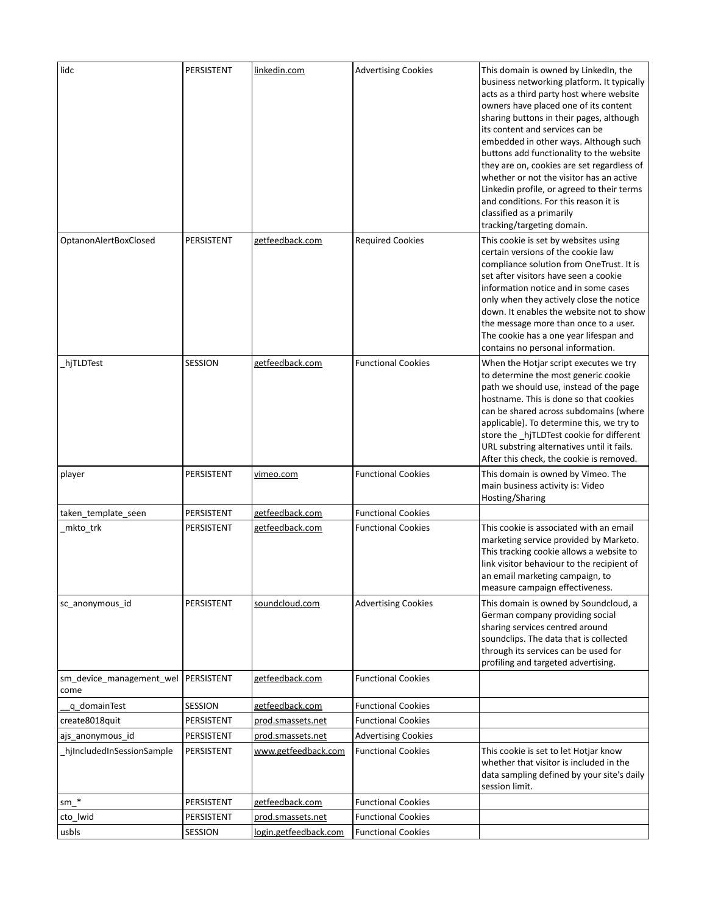| lidc                                          | PERSISTENT | linkedin.com          | <b>Advertising Cookies</b> | This domain is owned by LinkedIn, the<br>business networking platform. It typically<br>acts as a third party host where website<br>owners have placed one of its content<br>sharing buttons in their pages, although<br>its content and services can be<br>embedded in other ways. Although such<br>buttons add functionality to the website<br>they are on, cookies are set regardless of<br>whether or not the visitor has an active<br>Linkedin profile, or agreed to their terms<br>and conditions. For this reason it is<br>classified as a primarily<br>tracking/targeting domain. |
|-----------------------------------------------|------------|-----------------------|----------------------------|------------------------------------------------------------------------------------------------------------------------------------------------------------------------------------------------------------------------------------------------------------------------------------------------------------------------------------------------------------------------------------------------------------------------------------------------------------------------------------------------------------------------------------------------------------------------------------------|
| OptanonAlertBoxClosed                         | PERSISTENT | getfeedback.com       | <b>Required Cookies</b>    | This cookie is set by websites using<br>certain versions of the cookie law<br>compliance solution from OneTrust. It is<br>set after visitors have seen a cookie<br>information notice and in some cases<br>only when they actively close the notice<br>down. It enables the website not to show<br>the message more than once to a user.<br>The cookie has a one year lifespan and<br>contains no personal information.                                                                                                                                                                  |
| hjTLDTest                                     | SESSION    | getfeedback.com       | <b>Functional Cookies</b>  | When the Hotjar script executes we try<br>to determine the most generic cookie<br>path we should use, instead of the page<br>hostname. This is done so that cookies<br>can be shared across subdomains (where<br>applicable). To determine this, we try to<br>store the _hjTLDTest cookie for different<br>URL substring alternatives until it fails.<br>After this check, the cookie is removed.                                                                                                                                                                                        |
| player                                        | PERSISTENT | <u>vimeo.com</u>      | <b>Functional Cookies</b>  | This domain is owned by Vimeo. The<br>main business activity is: Video<br>Hosting/Sharing                                                                                                                                                                                                                                                                                                                                                                                                                                                                                                |
| taken_template_seen                           | PERSISTENT | getfeedback.com       | <b>Functional Cookies</b>  |                                                                                                                                                                                                                                                                                                                                                                                                                                                                                                                                                                                          |
| _mkto_trk                                     | PERSISTENT | getfeedback.com       | <b>Functional Cookies</b>  | This cookie is associated with an email<br>marketing service provided by Marketo.<br>This tracking cookie allows a website to<br>link visitor behaviour to the recipient of<br>an email marketing campaign, to<br>measure campaign effectiveness.                                                                                                                                                                                                                                                                                                                                        |
| sc_anonymous_id                               | PERSISTENT | soundcloud.com        | <b>Advertising Cookies</b> | This domain is owned by Soundcloud, a<br>German company providing social<br>sharing services centred around<br>soundclips. The data that is collected<br>through its services can be used for<br>profiling and targeted advertising.                                                                                                                                                                                                                                                                                                                                                     |
| sm_device_management_wel   PERSISTENT<br>come |            | getfeedback.com       | <b>Functional Cookies</b>  |                                                                                                                                                                                                                                                                                                                                                                                                                                                                                                                                                                                          |
| q_domainTest                                  | SESSION    | getfeedback.com       | <b>Functional Cookies</b>  |                                                                                                                                                                                                                                                                                                                                                                                                                                                                                                                                                                                          |
| create8018quit                                | PERSISTENT | prod.smassets.net     | <b>Functional Cookies</b>  |                                                                                                                                                                                                                                                                                                                                                                                                                                                                                                                                                                                          |
| ajs_anonymous_id                              | PERSISTENT | prod.smassets.net     | <b>Advertising Cookies</b> |                                                                                                                                                                                                                                                                                                                                                                                                                                                                                                                                                                                          |
| hjIncludedInSessionSample                     | PERSISTENT | www.getfeedback.com   | <b>Functional Cookies</b>  | This cookie is set to let Hotjar know<br>whether that visitor is included in the<br>data sampling defined by your site's daily<br>session limit.                                                                                                                                                                                                                                                                                                                                                                                                                                         |
| $sm$ <sup>*</sup>                             | PERSISTENT | getfeedback.com       | <b>Functional Cookies</b>  |                                                                                                                                                                                                                                                                                                                                                                                                                                                                                                                                                                                          |
| cto_lwid                                      | PERSISTENT | prod.smassets.net     | <b>Functional Cookies</b>  |                                                                                                                                                                                                                                                                                                                                                                                                                                                                                                                                                                                          |
| usbls                                         | SESSION    | login.getfeedback.com | <b>Functional Cookies</b>  |                                                                                                                                                                                                                                                                                                                                                                                                                                                                                                                                                                                          |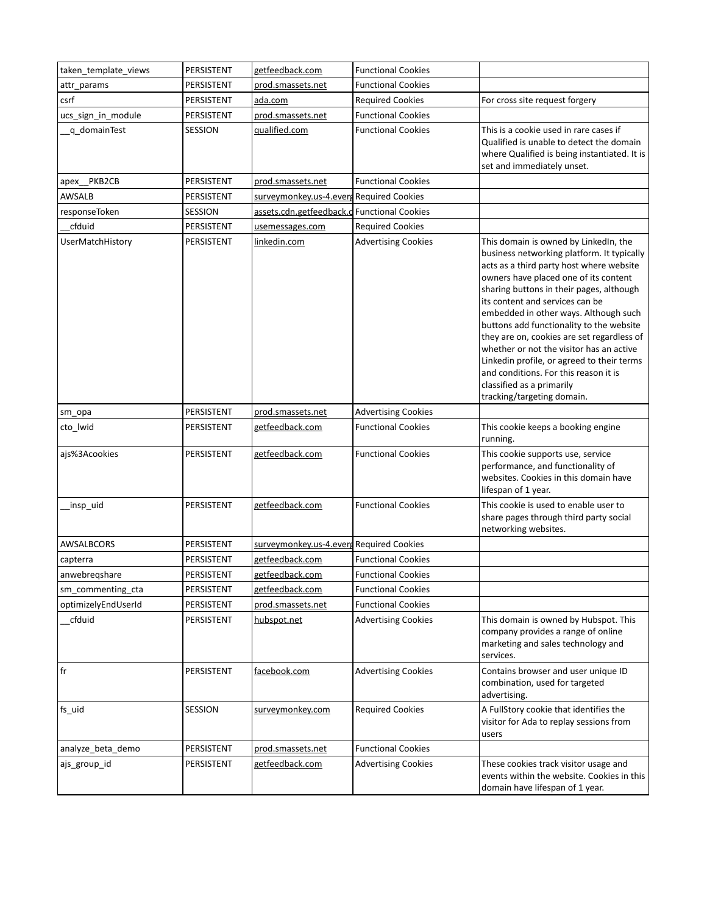| taken template views    | PERSISTENT | getfeedback.com                             | <b>Functional Cookies</b>  |                                                                                                                                                                                                                                                                                                                                                                                                                                                                                                                                                                                          |
|-------------------------|------------|---------------------------------------------|----------------------------|------------------------------------------------------------------------------------------------------------------------------------------------------------------------------------------------------------------------------------------------------------------------------------------------------------------------------------------------------------------------------------------------------------------------------------------------------------------------------------------------------------------------------------------------------------------------------------------|
| attr_params             | PERSISTENT | prod.smassets.net                           | <b>Functional Cookies</b>  |                                                                                                                                                                                                                                                                                                                                                                                                                                                                                                                                                                                          |
| csrf                    | PERSISTENT | ada.com                                     | <b>Required Cookies</b>    | For cross site request forgery                                                                                                                                                                                                                                                                                                                                                                                                                                                                                                                                                           |
| ucs_sign_in_module      | PERSISTENT | prod.smassets.net                           | <b>Functional Cookies</b>  |                                                                                                                                                                                                                                                                                                                                                                                                                                                                                                                                                                                          |
| q domainTest            | SESSION    | qualified.com                               | <b>Functional Cookies</b>  | This is a cookie used in rare cases if<br>Qualified is unable to detect the domain<br>where Qualified is being instantiated. It is<br>set and immediately unset.                                                                                                                                                                                                                                                                                                                                                                                                                         |
| apex_PKB2CB             | PERSISTENT | prod.smassets.net                           | <b>Functional Cookies</b>  |                                                                                                                                                                                                                                                                                                                                                                                                                                                                                                                                                                                          |
| <b>AWSALB</b>           | PERSISTENT | surveymonkey.us-4.evers Required Cookies    |                            |                                                                                                                                                                                                                                                                                                                                                                                                                                                                                                                                                                                          |
| responseToken           | SESSION    | assets.cdn.getfeedback.c Functional Cookies |                            |                                                                                                                                                                                                                                                                                                                                                                                                                                                                                                                                                                                          |
| cfduid                  | PERSISTENT | usemessages.com                             | <b>Required Cookies</b>    |                                                                                                                                                                                                                                                                                                                                                                                                                                                                                                                                                                                          |
| <b>UserMatchHistory</b> | PERSISTENT | linkedin.com                                | <b>Advertising Cookies</b> | This domain is owned by LinkedIn, the<br>business networking platform. It typically<br>acts as a third party host where website<br>owners have placed one of its content<br>sharing buttons in their pages, although<br>its content and services can be<br>embedded in other ways. Although such<br>buttons add functionality to the website<br>they are on, cookies are set regardless of<br>whether or not the visitor has an active<br>Linkedin profile, or agreed to their terms<br>and conditions. For this reason it is<br>classified as a primarily<br>tracking/targeting domain. |
| sm_opa                  | PERSISTENT | prod.smassets.net                           | <b>Advertising Cookies</b> |                                                                                                                                                                                                                                                                                                                                                                                                                                                                                                                                                                                          |
| cto_lwid                | PERSISTENT | getfeedback.com                             | <b>Functional Cookies</b>  | This cookie keeps a booking engine<br>running.                                                                                                                                                                                                                                                                                                                                                                                                                                                                                                                                           |
| ajs%3Acookies           | PERSISTENT | getfeedback.com                             | <b>Functional Cookies</b>  | This cookie supports use, service<br>performance, and functionality of<br>websites. Cookies in this domain have<br>lifespan of 1 year.                                                                                                                                                                                                                                                                                                                                                                                                                                                   |
| _insp_uid               | PERSISTENT | getfeedback.com                             | <b>Functional Cookies</b>  | This cookie is used to enable user to<br>share pages through third party social<br>networking websites.                                                                                                                                                                                                                                                                                                                                                                                                                                                                                  |
| AWSALBCORS              | PERSISTENT | surveymonkey.us-4.everg Required Cookies    |                            |                                                                                                                                                                                                                                                                                                                                                                                                                                                                                                                                                                                          |
| capterra                | PERSISTENT | getfeedback.com                             | <b>Functional Cookies</b>  |                                                                                                                                                                                                                                                                                                                                                                                                                                                                                                                                                                                          |
| anwebregshare           | PERSISTENT | getfeedback.com                             | <b>Functional Cookies</b>  |                                                                                                                                                                                                                                                                                                                                                                                                                                                                                                                                                                                          |
| sm commenting cta       | PERSISTENT | getfeedback.com                             | <b>Functional Cookies</b>  |                                                                                                                                                                                                                                                                                                                                                                                                                                                                                                                                                                                          |
| optimizelyEndUserId     | PERSISTENT | prod.smassets.net                           | <b>Functional Cookies</b>  |                                                                                                                                                                                                                                                                                                                                                                                                                                                                                                                                                                                          |
| cfduid                  | PERSISTENT | hubspot.net                                 | <b>Advertising Cookies</b> | This domain is owned by Hubspot. This<br>company provides a range of online<br>marketing and sales technology and<br>services.                                                                                                                                                                                                                                                                                                                                                                                                                                                           |
| fr                      | PERSISTENT | facebook.com                                | <b>Advertising Cookies</b> | Contains browser and user unique ID<br>combination, used for targeted<br>advertising.                                                                                                                                                                                                                                                                                                                                                                                                                                                                                                    |
| fs_uid                  | SESSION    | surveymonkey.com                            | <b>Required Cookies</b>    | A FullStory cookie that identifies the<br>visitor for Ada to replay sessions from<br>users                                                                                                                                                                                                                                                                                                                                                                                                                                                                                               |
| analyze beta demo       | PERSISTENT | prod.smassets.net                           | <b>Functional Cookies</b>  |                                                                                                                                                                                                                                                                                                                                                                                                                                                                                                                                                                                          |
| ajs_group_id            | PERSISTENT | getfeedback.com                             | <b>Advertising Cookies</b> | These cookies track visitor usage and<br>events within the website. Cookies in this<br>domain have lifespan of 1 year.                                                                                                                                                                                                                                                                                                                                                                                                                                                                   |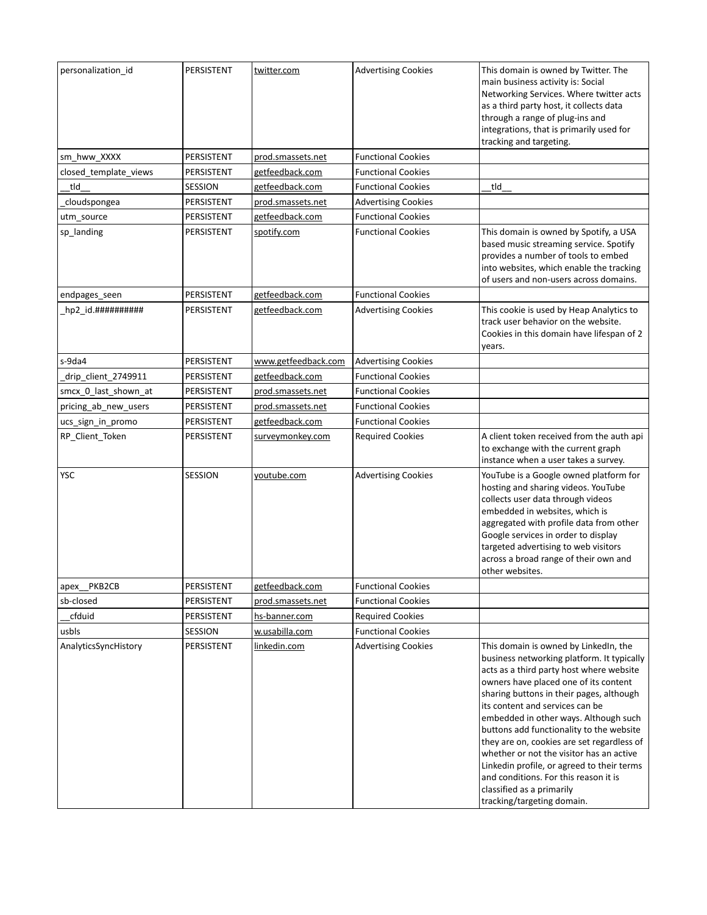| personalization_id                     | PERSISTENT | twitter.com         | <b>Advertising Cookies</b> | This domain is owned by Twitter. The<br>main business activity is: Social<br>Networking Services. Where twitter acts<br>as a third party host, it collects data<br>through a range of plug-ins and<br>integrations, that is primarily used for<br>tracking and targeting.                                                                                                                                                                                                                                                                                                                |
|----------------------------------------|------------|---------------------|----------------------------|------------------------------------------------------------------------------------------------------------------------------------------------------------------------------------------------------------------------------------------------------------------------------------------------------------------------------------------------------------------------------------------------------------------------------------------------------------------------------------------------------------------------------------------------------------------------------------------|
| sm_hww_XXXX                            | PERSISTENT | prod.smassets.net   | <b>Functional Cookies</b>  |                                                                                                                                                                                                                                                                                                                                                                                                                                                                                                                                                                                          |
| closed template views                  | PERSISTENT | getfeedback.com     | <b>Functional Cookies</b>  |                                                                                                                                                                                                                                                                                                                                                                                                                                                                                                                                                                                          |
| tld                                    | SESSION    | getfeedback.com     | <b>Functional Cookies</b>  | tld                                                                                                                                                                                                                                                                                                                                                                                                                                                                                                                                                                                      |
| cloudspongea                           | PERSISTENT | prod.smassets.net   | <b>Advertising Cookies</b> |                                                                                                                                                                                                                                                                                                                                                                                                                                                                                                                                                                                          |
| utm_source                             | PERSISTENT | getfeedback.com     | <b>Functional Cookies</b>  |                                                                                                                                                                                                                                                                                                                                                                                                                                                                                                                                                                                          |
| sp_landing                             | PERSISTENT | spotify.com         | <b>Functional Cookies</b>  | This domain is owned by Spotify, a USA<br>based music streaming service. Spotify<br>provides a number of tools to embed<br>into websites, which enable the tracking<br>of users and non-users across domains.                                                                                                                                                                                                                                                                                                                                                                            |
| endpages_seen                          | PERSISTENT | getfeedback.com     | <b>Functional Cookies</b>  |                                                                                                                                                                                                                                                                                                                                                                                                                                                                                                                                                                                          |
| $hp2$ id. $\# \# \# \# \# \# \# \# \#$ | PERSISTENT | getfeedback.com     | <b>Advertising Cookies</b> | This cookie is used by Heap Analytics to<br>track user behavior on the website.<br>Cookies in this domain have lifespan of 2<br>years.                                                                                                                                                                                                                                                                                                                                                                                                                                                   |
| s-9da4                                 | PERSISTENT | www.getfeedback.com | <b>Advertising Cookies</b> |                                                                                                                                                                                                                                                                                                                                                                                                                                                                                                                                                                                          |
| drip client 2749911                    | PERSISTENT | getfeedback.com     | <b>Functional Cookies</b>  |                                                                                                                                                                                                                                                                                                                                                                                                                                                                                                                                                                                          |
| smcx 0 last shown at                   | PERSISTENT | prod.smassets.net   | <b>Functional Cookies</b>  |                                                                                                                                                                                                                                                                                                                                                                                                                                                                                                                                                                                          |
| pricing_ab_new_users                   | PERSISTENT | prod.smassets.net   | <b>Functional Cookies</b>  |                                                                                                                                                                                                                                                                                                                                                                                                                                                                                                                                                                                          |
| ucs_sign_in_promo                      | PERSISTENT | getfeedback.com     | <b>Functional Cookies</b>  |                                                                                                                                                                                                                                                                                                                                                                                                                                                                                                                                                                                          |
| RP_Client_Token                        | PERSISTENT | surveymonkey.com    | <b>Required Cookies</b>    | A client token received from the auth api<br>to exchange with the current graph<br>instance when a user takes a survey.                                                                                                                                                                                                                                                                                                                                                                                                                                                                  |
| YSC                                    | SESSION    | youtube.com         | <b>Advertising Cookies</b> | YouTube is a Google owned platform for<br>hosting and sharing videos. YouTube<br>collects user data through videos<br>embedded in websites, which is<br>aggregated with profile data from other<br>Google services in order to display<br>targeted advertising to web visitors<br>across a broad range of their own and<br>other websites.                                                                                                                                                                                                                                               |
| apex PKB2CB                            | PERSISTENT | getfeedback.com     | <b>Functional Cookies</b>  |                                                                                                                                                                                                                                                                                                                                                                                                                                                                                                                                                                                          |
| sb-closed                              | PERSISTENT | prod.smassets.net   | <b>Functional Cookies</b>  |                                                                                                                                                                                                                                                                                                                                                                                                                                                                                                                                                                                          |
| cfduid                                 | PERSISTENT | hs-banner.com       | <b>Required Cookies</b>    |                                                                                                                                                                                                                                                                                                                                                                                                                                                                                                                                                                                          |
| usbls                                  | SESSION    | w.usabilla.com      | <b>Functional Cookies</b>  |                                                                                                                                                                                                                                                                                                                                                                                                                                                                                                                                                                                          |
| AnalyticsSyncHistory                   | PERSISTENT | linkedin.com        | <b>Advertising Cookies</b> | This domain is owned by LinkedIn, the<br>business networking platform. It typically<br>acts as a third party host where website<br>owners have placed one of its content<br>sharing buttons in their pages, although<br>its content and services can be<br>embedded in other ways. Although such<br>buttons add functionality to the website<br>they are on, cookies are set regardless of<br>whether or not the visitor has an active<br>Linkedin profile, or agreed to their terms<br>and conditions. For this reason it is<br>classified as a primarily<br>tracking/targeting domain. |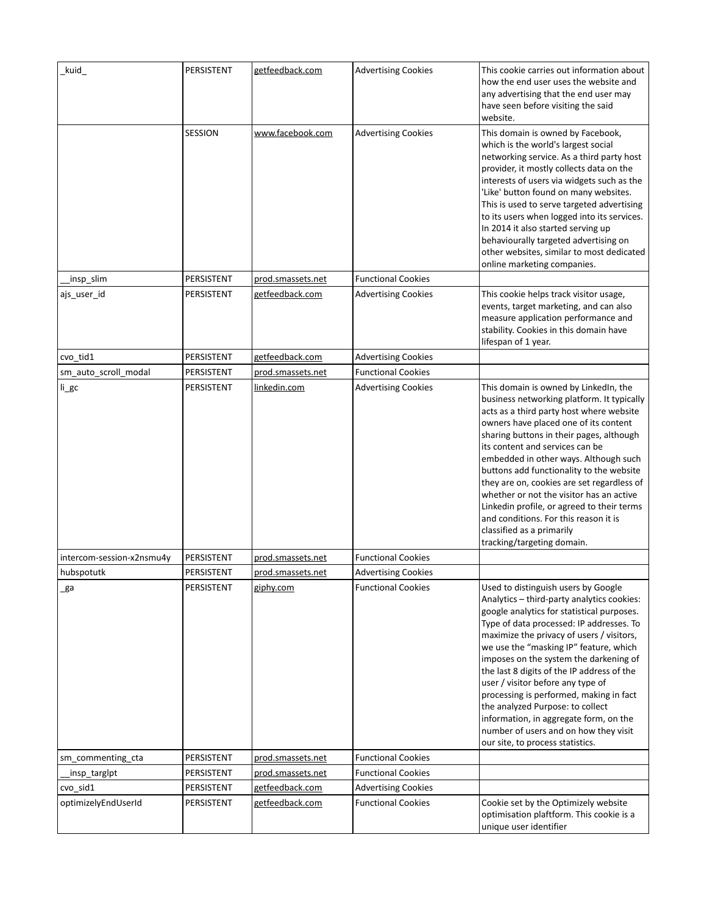| _kuid_                    | PERSISTENT | getfeedback.com   | <b>Advertising Cookies</b> | This cookie carries out information about<br>how the end user uses the website and<br>any advertising that the end user may<br>have seen before visiting the said<br>website.                                                                                                                                                                                                                                                                                                                                                                                                                         |
|---------------------------|------------|-------------------|----------------------------|-------------------------------------------------------------------------------------------------------------------------------------------------------------------------------------------------------------------------------------------------------------------------------------------------------------------------------------------------------------------------------------------------------------------------------------------------------------------------------------------------------------------------------------------------------------------------------------------------------|
|                           | SESSION    | www.facebook.com  | <b>Advertising Cookies</b> | This domain is owned by Facebook,<br>which is the world's largest social<br>networking service. As a third party host<br>provider, it mostly collects data on the<br>interests of users via widgets such as the<br>'Like' button found on many websites.<br>This is used to serve targeted advertising<br>to its users when logged into its services.<br>In 2014 it also started serving up<br>behaviourally targeted advertising on<br>other websites, similar to most dedicated<br>online marketing companies.                                                                                      |
| _insp_slim                | PERSISTENT | prod.smassets.net | <b>Functional Cookies</b>  |                                                                                                                                                                                                                                                                                                                                                                                                                                                                                                                                                                                                       |
| ajs_user_id               | PERSISTENT | getfeedback.com   | <b>Advertising Cookies</b> | This cookie helps track visitor usage,<br>events, target marketing, and can also<br>measure application performance and<br>stability. Cookies in this domain have<br>lifespan of 1 year.                                                                                                                                                                                                                                                                                                                                                                                                              |
| cvo_tid1                  | PERSISTENT | getfeedback.com   | <b>Advertising Cookies</b> |                                                                                                                                                                                                                                                                                                                                                                                                                                                                                                                                                                                                       |
| sm auto scroll modal      | PERSISTENT | prod.smassets.net | <b>Functional Cookies</b>  |                                                                                                                                                                                                                                                                                                                                                                                                                                                                                                                                                                                                       |
| li_gc                     | PERSISTENT | linkedin.com      | <b>Advertising Cookies</b> | This domain is owned by LinkedIn, the<br>business networking platform. It typically<br>acts as a third party host where website<br>owners have placed one of its content<br>sharing buttons in their pages, although<br>its content and services can be<br>embedded in other ways. Although such<br>buttons add functionality to the website<br>they are on, cookies are set regardless of<br>whether or not the visitor has an active<br>Linkedin profile, or agreed to their terms<br>and conditions. For this reason it is<br>classified as a primarily<br>tracking/targeting domain.              |
| intercom-session-x2nsmu4y | PERSISTENT | prod.smassets.net | <b>Functional Cookies</b>  |                                                                                                                                                                                                                                                                                                                                                                                                                                                                                                                                                                                                       |
| hubspotutk                | PERSISTENT | prod.smassets.net | <b>Advertising Cookies</b> |                                                                                                                                                                                                                                                                                                                                                                                                                                                                                                                                                                                                       |
| _ga                       | PERSISTENT | giphy.com         | <b>Functional Cookies</b>  | Used to distinguish users by Google<br>Analytics - third-party analytics cookies:<br>google analytics for statistical purposes.<br>Type of data processed: IP addresses. To<br>maximize the privacy of users / visitors,<br>we use the "masking IP" feature, which<br>imposes on the system the darkening of<br>the last 8 digits of the IP address of the<br>user / visitor before any type of<br>processing is performed, making in fact<br>the analyzed Purpose: to collect<br>information, in aggregate form, on the<br>number of users and on how they visit<br>our site, to process statistics. |
| sm_commenting_cta         | PERSISTENT | prod.smassets.net | <b>Functional Cookies</b>  |                                                                                                                                                                                                                                                                                                                                                                                                                                                                                                                                                                                                       |
| insp_targlpt              | PERSISTENT | prod.smassets.net | <b>Functional Cookies</b>  |                                                                                                                                                                                                                                                                                                                                                                                                                                                                                                                                                                                                       |
| cvo_sid1                  | PERSISTENT | getfeedback.com   | <b>Advertising Cookies</b> |                                                                                                                                                                                                                                                                                                                                                                                                                                                                                                                                                                                                       |
| optimizelyEndUserId       | PERSISTENT | getfeedback.com   | <b>Functional Cookies</b>  | Cookie set by the Optimizely website<br>optimisation plaftform. This cookie is a<br>unique user identifier                                                                                                                                                                                                                                                                                                                                                                                                                                                                                            |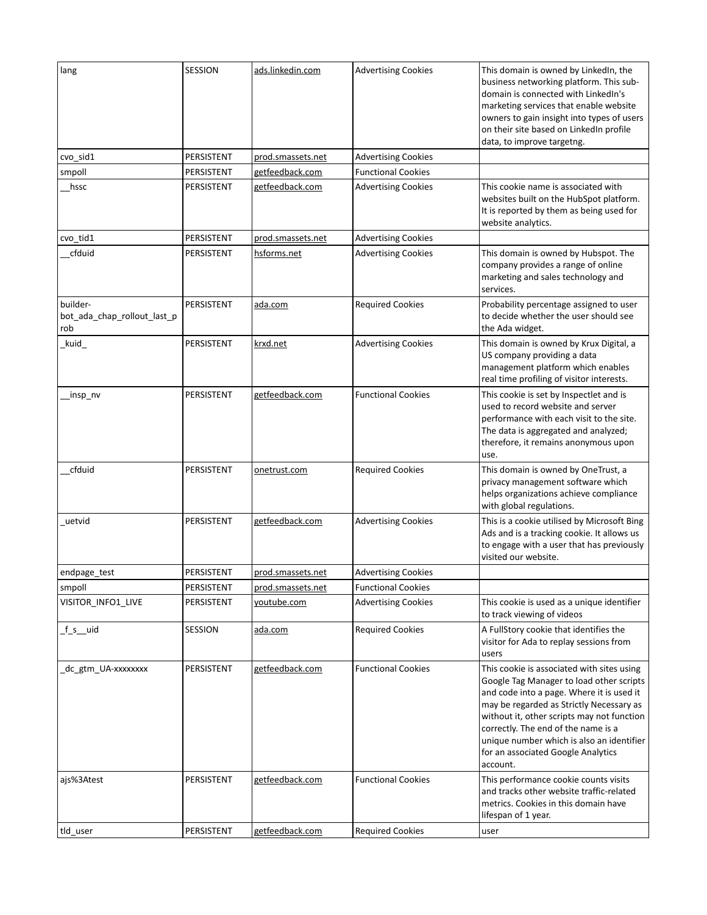| lang                                           | <b>SESSION</b> | ads.linkedin.com  | <b>Advertising Cookies</b> | This domain is owned by LinkedIn, the<br>business networking platform. This sub-<br>domain is connected with LinkedIn's<br>marketing services that enable website<br>owners to gain insight into types of users<br>on their site based on LinkedIn profile<br>data, to improve targetng.                                                                            |
|------------------------------------------------|----------------|-------------------|----------------------------|---------------------------------------------------------------------------------------------------------------------------------------------------------------------------------------------------------------------------------------------------------------------------------------------------------------------------------------------------------------------|
| cvo_sid1                                       | PERSISTENT     | prod.smassets.net | <b>Advertising Cookies</b> |                                                                                                                                                                                                                                                                                                                                                                     |
| smpoll                                         | PERSISTENT     | getfeedback.com   | <b>Functional Cookies</b>  |                                                                                                                                                                                                                                                                                                                                                                     |
| hssc                                           | PERSISTENT     | getfeedback.com   | <b>Advertising Cookies</b> | This cookie name is associated with<br>websites built on the HubSpot platform.<br>It is reported by them as being used for<br>website analytics.                                                                                                                                                                                                                    |
| cvo_tid1                                       | PERSISTENT     | prod.smassets.net | <b>Advertising Cookies</b> |                                                                                                                                                                                                                                                                                                                                                                     |
| cfduid                                         | PERSISTENT     | hsforms.net       | <b>Advertising Cookies</b> | This domain is owned by Hubspot. The<br>company provides a range of online<br>marketing and sales technology and<br>services.                                                                                                                                                                                                                                       |
| builder-<br>bot_ada_chap_rollout_last_p<br>rob | PERSISTENT     | ada.com           | <b>Required Cookies</b>    | Probability percentage assigned to user<br>to decide whether the user should see<br>the Ada widget.                                                                                                                                                                                                                                                                 |
| _kuid_                                         | PERSISTENT     | krxd.net          | <b>Advertising Cookies</b> | This domain is owned by Krux Digital, a<br>US company providing a data<br>management platform which enables<br>real time profiling of visitor interests.                                                                                                                                                                                                            |
| _insp_nv                                       | PERSISTENT     | getfeedback.com   | <b>Functional Cookies</b>  | This cookie is set by Inspectlet and is<br>used to record website and server<br>performance with each visit to the site.<br>The data is aggregated and analyzed;<br>therefore, it remains anonymous upon<br>use.                                                                                                                                                    |
| cfduid                                         | PERSISTENT     | onetrust.com      | <b>Required Cookies</b>    | This domain is owned by OneTrust, a<br>privacy management software which<br>helps organizations achieve compliance<br>with global regulations.                                                                                                                                                                                                                      |
| uetvid                                         | PERSISTENT     | getfeedback.com   | <b>Advertising Cookies</b> | This is a cookie utilised by Microsoft Bing<br>Ads and is a tracking cookie. It allows us<br>to engage with a user that has previously<br>visited our website.                                                                                                                                                                                                      |
| endpage_test                                   | PERSISTENT     | prod.smassets.net | <b>Advertising Cookies</b> |                                                                                                                                                                                                                                                                                                                                                                     |
| smpoll                                         | PERSISTENT     | prod.smassets.net | <b>Functional Cookies</b>  |                                                                                                                                                                                                                                                                                                                                                                     |
| VISITOR_INFO1_LIVE                             | PERSISTENT     | youtube.com       | <b>Advertising Cookies</b> | This cookie is used as a unique identifier<br>to track viewing of videos                                                                                                                                                                                                                                                                                            |
| _f_s__uid                                      | SESSION        | ada.com           | <b>Required Cookies</b>    | A FullStory cookie that identifies the<br>visitor for Ada to replay sessions from<br>users                                                                                                                                                                                                                                                                          |
| dc_gtm_UA-xxxxxxxx                             | PERSISTENT     | getfeedback.com   | <b>Functional Cookies</b>  | This cookie is associated with sites using<br>Google Tag Manager to load other scripts<br>and code into a page. Where it is used it<br>may be regarded as Strictly Necessary as<br>without it, other scripts may not function<br>correctly. The end of the name is a<br>unique number which is also an identifier<br>for an associated Google Analytics<br>account. |
| ajs%3Atest                                     | PERSISTENT     | getfeedback.com   | <b>Functional Cookies</b>  | This performance cookie counts visits<br>and tracks other website traffic-related<br>metrics. Cookies in this domain have<br>lifespan of 1 year.                                                                                                                                                                                                                    |
| tld_user                                       | PERSISTENT     | getfeedback.com   | <b>Required Cookies</b>    | user                                                                                                                                                                                                                                                                                                                                                                |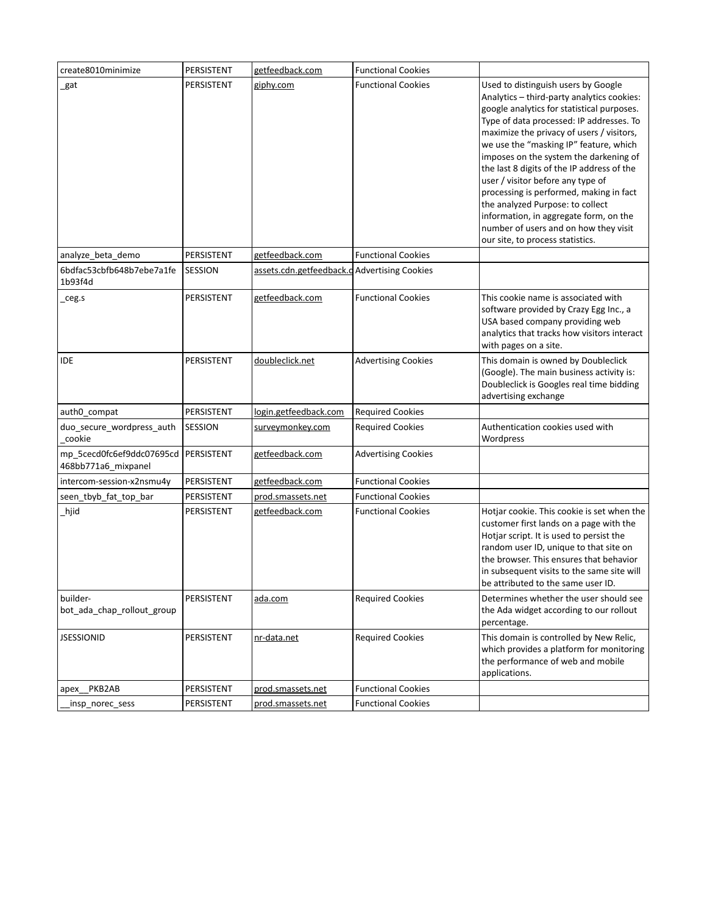| create8010minimize                                            | PERSISTENT | getfeedback.com                              | <b>Functional Cookies</b>  |                                                                                                                                                                                                                                                                                                                                                                                                                                                                                                                                                                                                       |
|---------------------------------------------------------------|------------|----------------------------------------------|----------------------------|-------------------------------------------------------------------------------------------------------------------------------------------------------------------------------------------------------------------------------------------------------------------------------------------------------------------------------------------------------------------------------------------------------------------------------------------------------------------------------------------------------------------------------------------------------------------------------------------------------|
| gat                                                           | PERSISTENT | giphy.com                                    | <b>Functional Cookies</b>  | Used to distinguish users by Google<br>Analytics - third-party analytics cookies:<br>google analytics for statistical purposes.<br>Type of data processed: IP addresses. To<br>maximize the privacy of users / visitors,<br>we use the "masking IP" feature, which<br>imposes on the system the darkening of<br>the last 8 digits of the IP address of the<br>user / visitor before any type of<br>processing is performed, making in fact<br>the analyzed Purpose: to collect<br>information, in aggregate form, on the<br>number of users and on how they visit<br>our site, to process statistics. |
| analyze_beta_demo                                             | PERSISTENT | getfeedback.com                              | <b>Functional Cookies</b>  |                                                                                                                                                                                                                                                                                                                                                                                                                                                                                                                                                                                                       |
| 6bdfac53cbfb648b7ebe7a1fe<br>1b93f4d                          | SESSION    | assets.cdn.getfeedback.d Advertising Cookies |                            |                                                                                                                                                                                                                                                                                                                                                                                                                                                                                                                                                                                                       |
| ceg.s                                                         | PERSISTENT | getfeedback.com                              | <b>Functional Cookies</b>  | This cookie name is associated with<br>software provided by Crazy Egg Inc., a<br>USA based company providing web<br>analytics that tracks how visitors interact<br>with pages on a site.                                                                                                                                                                                                                                                                                                                                                                                                              |
| <b>IDE</b>                                                    | PERSISTENT | doubleclick.net                              | <b>Advertising Cookies</b> | This domain is owned by Doubleclick<br>(Google). The main business activity is:<br>Doubleclick is Googles real time bidding<br>advertising exchange                                                                                                                                                                                                                                                                                                                                                                                                                                                   |
| auth0_compat                                                  | PERSISTENT | login.getfeedback.com                        | <b>Required Cookies</b>    |                                                                                                                                                                                                                                                                                                                                                                                                                                                                                                                                                                                                       |
| duo_secure_wordpress_auth<br>cookie                           | SESSION    | surveymonkey.com                             | <b>Required Cookies</b>    | Authentication cookies used with<br>Wordpress                                                                                                                                                                                                                                                                                                                                                                                                                                                                                                                                                         |
| mp_5cecd0fc6ef9ddc07695cd   PERSISTENT<br>468bb771a6_mixpanel |            | getfeedback.com                              | <b>Advertising Cookies</b> |                                                                                                                                                                                                                                                                                                                                                                                                                                                                                                                                                                                                       |
| intercom-session-x2nsmu4y                                     | PERSISTENT | getfeedback.com                              | <b>Functional Cookies</b>  |                                                                                                                                                                                                                                                                                                                                                                                                                                                                                                                                                                                                       |
| seen_tbyb_fat_top_bar                                         | PERSISTENT | prod.smassets.net                            | <b>Functional Cookies</b>  |                                                                                                                                                                                                                                                                                                                                                                                                                                                                                                                                                                                                       |
| hjid                                                          | PERSISTENT | getfeedback.com                              | <b>Functional Cookies</b>  | Hotjar cookie. This cookie is set when the<br>customer first lands on a page with the<br>Hotjar script. It is used to persist the<br>random user ID, unique to that site on<br>the browser. This ensures that behavior<br>in subsequent visits to the same site will<br>be attributed to the same user ID.                                                                                                                                                                                                                                                                                            |
| builder-<br>bot_ada_chap_rollout_group                        | PERSISTENT | ada.com                                      | <b>Required Cookies</b>    | Determines whether the user should see<br>the Ada widget according to our rollout<br>percentage.                                                                                                                                                                                                                                                                                                                                                                                                                                                                                                      |
| <b>JSESSIONID</b>                                             | PERSISTENT | nr-data.net                                  | <b>Required Cookies</b>    | This domain is controlled by New Relic,<br>which provides a platform for monitoring<br>the performance of web and mobile<br>applications.                                                                                                                                                                                                                                                                                                                                                                                                                                                             |
| apex PKB2AB                                                   | PERSISTENT | prod.smassets.net                            | <b>Functional Cookies</b>  |                                                                                                                                                                                                                                                                                                                                                                                                                                                                                                                                                                                                       |
| _insp_norec_sess                                              | PERSISTENT | prod.smassets.net                            | <b>Functional Cookies</b>  |                                                                                                                                                                                                                                                                                                                                                                                                                                                                                                                                                                                                       |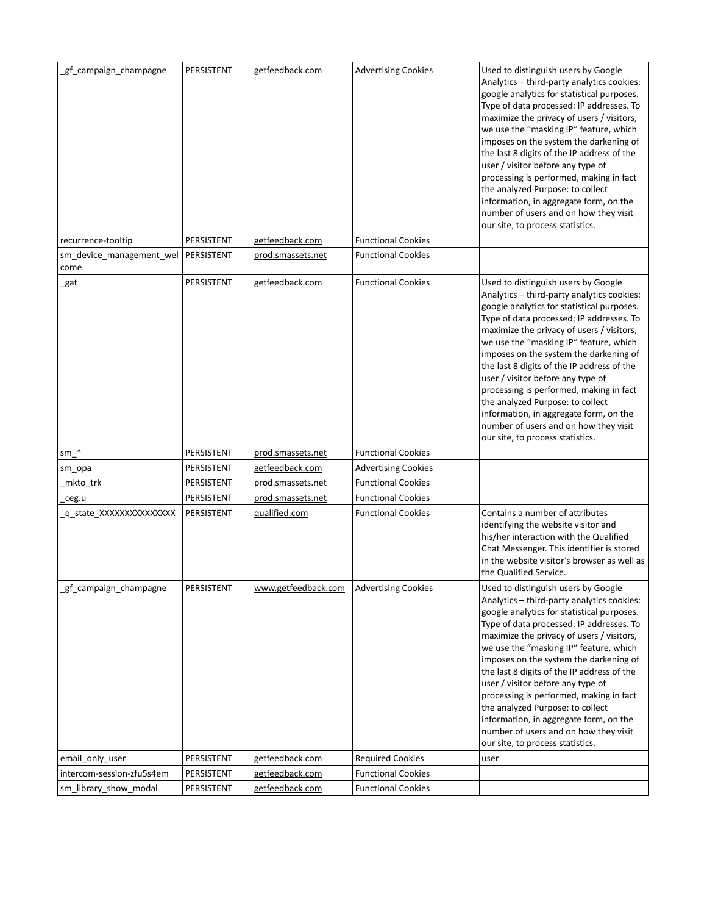| gf_campaign_champagne                         | PERSISTENT | getfeedback.com     | <b>Advertising Cookies</b> | Used to distinguish users by Google<br>Analytics - third-party analytics cookies:<br>google analytics for statistical purposes.<br>Type of data processed: IP addresses. To<br>maximize the privacy of users / visitors,<br>we use the "masking IP" feature, which<br>imposes on the system the darkening of<br>the last 8 digits of the IP address of the<br>user / visitor before any type of<br>processing is performed, making in fact<br>the analyzed Purpose: to collect<br>information, in aggregate form, on the<br>number of users and on how they visit<br>our site, to process statistics. |
|-----------------------------------------------|------------|---------------------|----------------------------|-------------------------------------------------------------------------------------------------------------------------------------------------------------------------------------------------------------------------------------------------------------------------------------------------------------------------------------------------------------------------------------------------------------------------------------------------------------------------------------------------------------------------------------------------------------------------------------------------------|
| recurrence-tooltip                            | PERSISTENT | getfeedback.com     | <b>Functional Cookies</b>  |                                                                                                                                                                                                                                                                                                                                                                                                                                                                                                                                                                                                       |
| sm_device_management_wel   PERSISTENT<br>come |            | prod.smassets.net   | <b>Functional Cookies</b>  |                                                                                                                                                                                                                                                                                                                                                                                                                                                                                                                                                                                                       |
| _gat                                          | PERSISTENT | getfeedback.com     | <b>Functional Cookies</b>  | Used to distinguish users by Google<br>Analytics - third-party analytics cookies:<br>google analytics for statistical purposes.<br>Type of data processed: IP addresses. To<br>maximize the privacy of users / visitors,<br>we use the "masking IP" feature, which<br>imposes on the system the darkening of<br>the last 8 digits of the IP address of the<br>user / visitor before any type of<br>processing is performed, making in fact<br>the analyzed Purpose: to collect<br>information, in aggregate form, on the<br>number of users and on how they visit<br>our site, to process statistics. |
| $sm$ <sup>*</sup>                             | PERSISTENT | prod.smassets.net   | <b>Functional Cookies</b>  |                                                                                                                                                                                                                                                                                                                                                                                                                                                                                                                                                                                                       |
| sm_opa                                        | PERSISTENT | getfeedback.com     | <b>Advertising Cookies</b> |                                                                                                                                                                                                                                                                                                                                                                                                                                                                                                                                                                                                       |
| mkto_trk                                      | PERSISTENT | prod.smassets.net   | <b>Functional Cookies</b>  |                                                                                                                                                                                                                                                                                                                                                                                                                                                                                                                                                                                                       |
| ceg.u_                                        | PERSISTENT | prod.smassets.net   | <b>Functional Cookies</b>  |                                                                                                                                                                                                                                                                                                                                                                                                                                                                                                                                                                                                       |
| q state XXXXXXXXXXXXXX                        | PERSISTENT | qualified.com       | <b>Functional Cookies</b>  | Contains a number of attributes<br>identifying the website visitor and<br>his/her interaction with the Qualified<br>Chat Messenger. This identifier is stored<br>in the website visitor's browser as well as<br>the Qualified Service.                                                                                                                                                                                                                                                                                                                                                                |
| gf_campaign_champagne                         | PERSISTENT | www.getfeedback.com | <b>Advertising Cookies</b> | Used to distinguish users by Google<br>Analytics - third-party analytics cookies:<br>google analytics for statistical purposes.<br>Type of data processed: IP addresses. To<br>maximize the privacy of users / visitors,<br>we use the "masking IP" feature, which<br>imposes on the system the darkening of<br>the last 8 digits of the IP address of the<br>user / visitor before any type of<br>processing is performed, making in fact<br>the analyzed Purpose: to collect<br>information, in aggregate form, on the<br>number of users and on how they visit<br>our site, to process statistics. |
| email_only_user                               | PERSISTENT | getfeedback.com     | <b>Required Cookies</b>    | user                                                                                                                                                                                                                                                                                                                                                                                                                                                                                                                                                                                                  |
| intercom-session-zfu5s4em                     | PERSISTENT | getfeedback.com     | <b>Functional Cookies</b>  |                                                                                                                                                                                                                                                                                                                                                                                                                                                                                                                                                                                                       |
| sm_library_show_modal                         | PERSISTENT | getfeedback.com     | <b>Functional Cookies</b>  |                                                                                                                                                                                                                                                                                                                                                                                                                                                                                                                                                                                                       |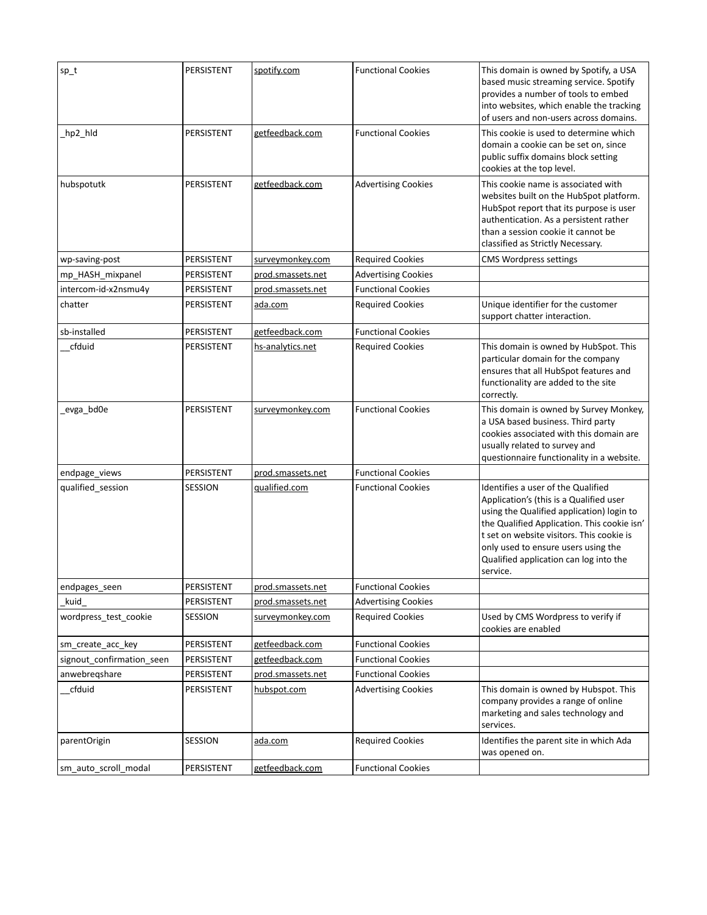| $sp_t$                    | PERSISTENT | spotify.com       | <b>Functional Cookies</b>  | This domain is owned by Spotify, a USA<br>based music streaming service. Spotify<br>provides a number of tools to embed<br>into websites, which enable the tracking<br>of users and non-users across domains.                                                                                                       |
|---------------------------|------------|-------------------|----------------------------|---------------------------------------------------------------------------------------------------------------------------------------------------------------------------------------------------------------------------------------------------------------------------------------------------------------------|
| _hp2_hld                  | PERSISTENT | getfeedback.com   | <b>Functional Cookies</b>  | This cookie is used to determine which<br>domain a cookie can be set on, since<br>public suffix domains block setting<br>cookies at the top level.                                                                                                                                                                  |
| hubspotutk                | PERSISTENT | getfeedback.com   | <b>Advertising Cookies</b> | This cookie name is associated with<br>websites built on the HubSpot platform.<br>HubSpot report that its purpose is user<br>authentication. As a persistent rather<br>than a session cookie it cannot be<br>classified as Strictly Necessary.                                                                      |
| wp-saving-post            | PERSISTENT | surveymonkey.com  | <b>Required Cookies</b>    | CMS Wordpress settings                                                                                                                                                                                                                                                                                              |
| mp_HASH_mixpanel          | PERSISTENT | prod.smassets.net | <b>Advertising Cookies</b> |                                                                                                                                                                                                                                                                                                                     |
| intercom-id-x2nsmu4y      | PERSISTENT | prod.smassets.net | <b>Functional Cookies</b>  |                                                                                                                                                                                                                                                                                                                     |
| chatter                   | PERSISTENT | ada.com           | <b>Required Cookies</b>    | Unique identifier for the customer<br>support chatter interaction.                                                                                                                                                                                                                                                  |
| sb-installed              | PERSISTENT | getfeedback.com   | <b>Functional Cookies</b>  |                                                                                                                                                                                                                                                                                                                     |
| cfduid                    | PERSISTENT | hs-analytics.net  | <b>Required Cookies</b>    | This domain is owned by HubSpot. This<br>particular domain for the company<br>ensures that all HubSpot features and<br>functionality are added to the site<br>correctly.                                                                                                                                            |
| _evga_bd0e                | PERSISTENT | surveymonkey.com  | <b>Functional Cookies</b>  | This domain is owned by Survey Monkey,<br>a USA based business. Third party<br>cookies associated with this domain are<br>usually related to survey and<br>questionnaire functionality in a website.                                                                                                                |
| endpage_views             | PERSISTENT | prod.smassets.net | <b>Functional Cookies</b>  |                                                                                                                                                                                                                                                                                                                     |
| qualified_session         | SESSION    | qualified.com     | <b>Functional Cookies</b>  | Identifies a user of the Qualified<br>Application's (this is a Qualified user<br>using the Qualified application) login to<br>the Qualified Application. This cookie isn'<br>t set on website visitors. This cookie is<br>only used to ensure users using the<br>Qualified application can log into the<br>service. |
| endpages_seen             | PERSISTENT | prod.smassets.net | <b>Functional Cookies</b>  |                                                                                                                                                                                                                                                                                                                     |
| kuid                      | PERSISTENT | prod.smassets.net | <b>Advertising Cookies</b> |                                                                                                                                                                                                                                                                                                                     |
| wordpress_test_cookie     | SESSION    | surveymonkey.com  | <b>Required Cookies</b>    | Used by CMS Wordpress to verify if<br>cookies are enabled                                                                                                                                                                                                                                                           |
| sm create acc key         | PERSISTENT | getfeedback.com   | <b>Functional Cookies</b>  |                                                                                                                                                                                                                                                                                                                     |
| signout confirmation seen | PERSISTENT | getfeedback.com   | <b>Functional Cookies</b>  |                                                                                                                                                                                                                                                                                                                     |
| anwebregshare             | PERSISTENT | prod.smassets.net | <b>Functional Cookies</b>  |                                                                                                                                                                                                                                                                                                                     |
| cfduid                    | PERSISTENT | hubspot.com       | <b>Advertising Cookies</b> | This domain is owned by Hubspot. This<br>company provides a range of online<br>marketing and sales technology and<br>services.                                                                                                                                                                                      |
| parentOrigin              | SESSION    | ada.com           | <b>Required Cookies</b>    | Identifies the parent site in which Ada<br>was opened on.                                                                                                                                                                                                                                                           |
| sm_auto_scroll_modal      | PERSISTENT | getfeedback.com   | <b>Functional Cookies</b>  |                                                                                                                                                                                                                                                                                                                     |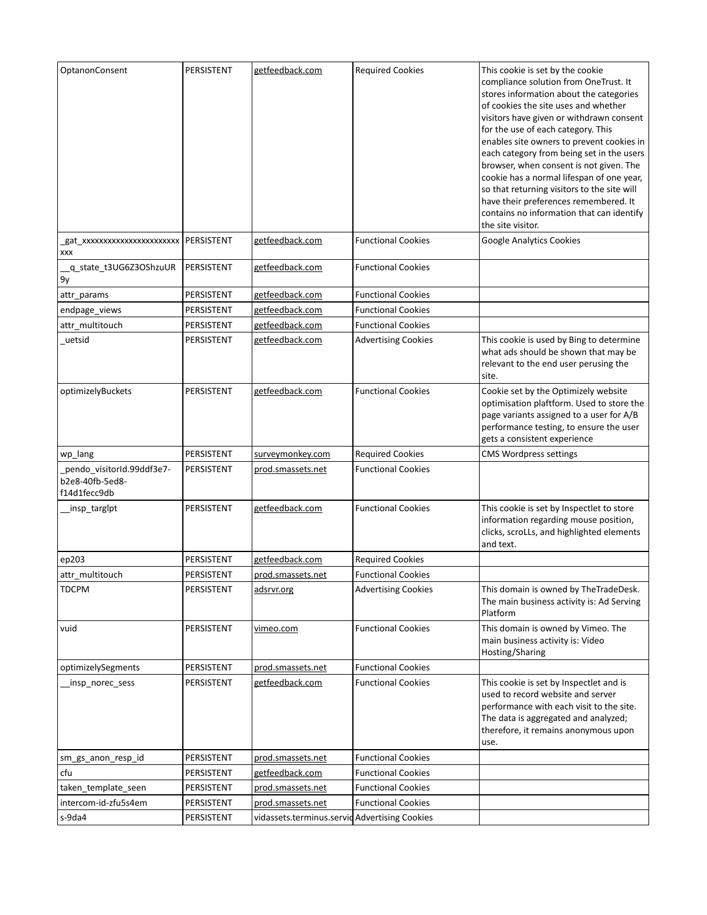| OptanonConsent                                               | PERSISTENT | getfeedback.com                               | <b>Required Cookies</b>    | This cookie is set by the cookie<br>compliance solution from OneTrust. It<br>stores information about the categories<br>of cookies the site uses and whether<br>visitors have given or withdrawn consent<br>for the use of each category. This<br>enables site owners to prevent cookies in<br>each category from being set in the users<br>browser, when consent is not given. The<br>cookie has a normal lifespan of one year,<br>so that returning visitors to the site will<br>have their preferences remembered. It<br>contains no information that can identify<br>the site visitor. |
|--------------------------------------------------------------|------------|-----------------------------------------------|----------------------------|--------------------------------------------------------------------------------------------------------------------------------------------------------------------------------------------------------------------------------------------------------------------------------------------------------------------------------------------------------------------------------------------------------------------------------------------------------------------------------------------------------------------------------------------------------------------------------------------|
| _gat_xxxxxxxxxxxxxxxxxxxxxx   PERSISTENT<br>XXX              |            | getfeedback.com                               | <b>Functional Cookies</b>  | Google Analytics Cookies                                                                                                                                                                                                                                                                                                                                                                                                                                                                                                                                                                   |
| _q_state_t3UG6Z3OShzuUR<br>9у                                | PERSISTENT | getfeedback.com                               | <b>Functional Cookies</b>  |                                                                                                                                                                                                                                                                                                                                                                                                                                                                                                                                                                                            |
| attr_params                                                  | PERSISTENT | getfeedback.com                               | <b>Functional Cookies</b>  |                                                                                                                                                                                                                                                                                                                                                                                                                                                                                                                                                                                            |
| endpage_views                                                | PERSISTENT | getfeedback.com                               | <b>Functional Cookies</b>  |                                                                                                                                                                                                                                                                                                                                                                                                                                                                                                                                                                                            |
| attr_multitouch                                              | PERSISTENT | getfeedback.com                               | <b>Functional Cookies</b>  |                                                                                                                                                                                                                                                                                                                                                                                                                                                                                                                                                                                            |
| uetsid                                                       | PERSISTENT | getfeedback.com                               | <b>Advertising Cookies</b> | This cookie is used by Bing to determine<br>what ads should be shown that may be<br>relevant to the end user perusing the<br>site.                                                                                                                                                                                                                                                                                                                                                                                                                                                         |
| optimizelyBuckets                                            | PERSISTENT | getfeedback.com                               | <b>Functional Cookies</b>  | Cookie set by the Optimizely website<br>optimisation plaftform. Used to store the<br>page variants assigned to a user for A/B<br>performance testing, to ensure the user<br>gets a consistent experience                                                                                                                                                                                                                                                                                                                                                                                   |
| wp_lang                                                      | PERSISTENT | surveymonkey.com                              | <b>Required Cookies</b>    | <b>CMS Wordpress settings</b>                                                                                                                                                                                                                                                                                                                                                                                                                                                                                                                                                              |
| pendo_visitorId.99ddf3e7-<br>b2e8-40fb-5ed8-<br>f14d1fecc9db | PERSISTENT | prod.smassets.net                             | <b>Functional Cookies</b>  |                                                                                                                                                                                                                                                                                                                                                                                                                                                                                                                                                                                            |
| _insp_targlpt                                                | PERSISTENT | getfeedback.com                               | <b>Functional Cookies</b>  | This cookie is set by Inspectlet to store<br>information regarding mouse position,<br>clicks, scroLLs, and highlighted elements<br>and text.                                                                                                                                                                                                                                                                                                                                                                                                                                               |
| ep203                                                        | PERSISTENT | getfeedback.com                               | <b>Required Cookies</b>    |                                                                                                                                                                                                                                                                                                                                                                                                                                                                                                                                                                                            |
| attr multitouch                                              | PERSISTENT | prod.smassets.net                             | <b>Functional Cookies</b>  |                                                                                                                                                                                                                                                                                                                                                                                                                                                                                                                                                                                            |
| <b>TDCPM</b>                                                 | PERSISTENT | adsrvr.org                                    | <b>Advertising Cookies</b> | This domain is owned by TheTradeDesk.<br>The main business activity is: Ad Serving<br>Platform                                                                                                                                                                                                                                                                                                                                                                                                                                                                                             |
| vuid                                                         | PERSISTENT | vimeo.com                                     | <b>Functional Cookies</b>  | This domain is owned by Vimeo. The<br>main business activity is: Video<br>Hosting/Sharing                                                                                                                                                                                                                                                                                                                                                                                                                                                                                                  |
| optimizelySegments                                           | PERSISTENT | prod.smassets.net                             | <b>Functional Cookies</b>  |                                                                                                                                                                                                                                                                                                                                                                                                                                                                                                                                                                                            |
| _insp_norec_sess                                             | PERSISTENT | getfeedback.com                               | <b>Functional Cookies</b>  | This cookie is set by Inspectlet and is<br>used to record website and server<br>performance with each visit to the site.<br>The data is aggregated and analyzed;<br>therefore, it remains anonymous upon<br>use.                                                                                                                                                                                                                                                                                                                                                                           |
| sm gs anon resp id                                           | PERSISTENT | prod.smassets.net                             | <b>Functional Cookies</b>  |                                                                                                                                                                                                                                                                                                                                                                                                                                                                                                                                                                                            |
| cfu                                                          | PERSISTENT | getfeedback.com                               | <b>Functional Cookies</b>  |                                                                                                                                                                                                                                                                                                                                                                                                                                                                                                                                                                                            |
| taken_template_seen                                          | PERSISTENT | prod.smassets.net                             | <b>Functional Cookies</b>  |                                                                                                                                                                                                                                                                                                                                                                                                                                                                                                                                                                                            |
| intercom-id-zfu5s4em                                         | PERSISTENT | prod.smassets.net                             | <b>Functional Cookies</b>  |                                                                                                                                                                                                                                                                                                                                                                                                                                                                                                                                                                                            |
| s-9da4                                                       | PERSISTENT | vidassets.terminus.servid Advertising Cookies |                            |                                                                                                                                                                                                                                                                                                                                                                                                                                                                                                                                                                                            |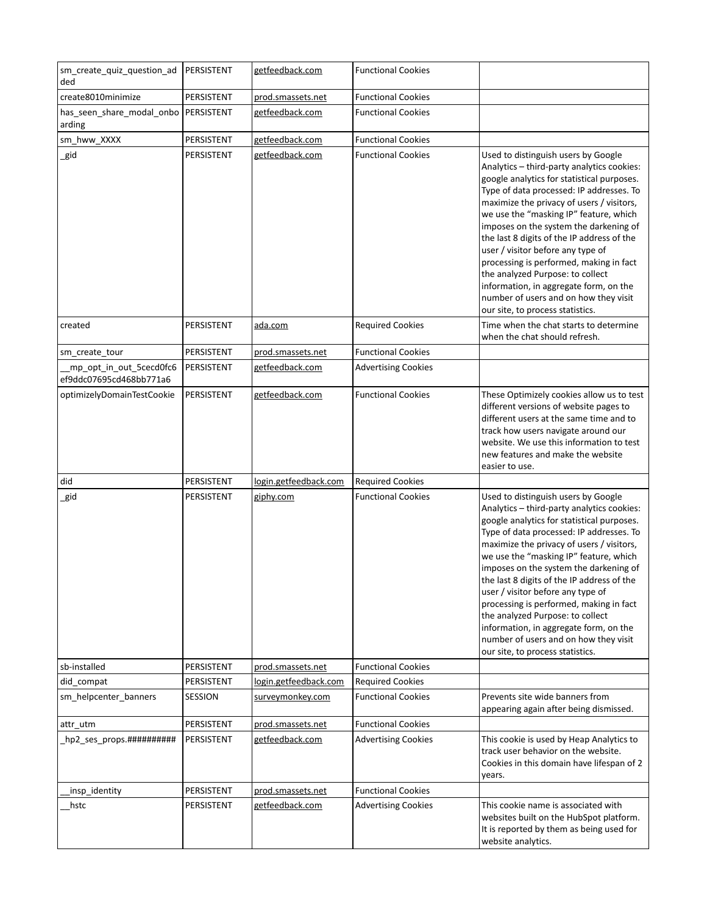| sm create quiz question ad<br>ded                  | PERSISTENT | getfeedback.com       | <b>Functional Cookies</b>  |                                                                                                                                                                                                                                                                                                                                                                                                                                                                                                                                                                                                       |
|----------------------------------------------------|------------|-----------------------|----------------------------|-------------------------------------------------------------------------------------------------------------------------------------------------------------------------------------------------------------------------------------------------------------------------------------------------------------------------------------------------------------------------------------------------------------------------------------------------------------------------------------------------------------------------------------------------------------------------------------------------------|
| create8010minimize                                 | PERSISTENT | prod.smassets.net     | <b>Functional Cookies</b>  |                                                                                                                                                                                                                                                                                                                                                                                                                                                                                                                                                                                                       |
| has_seen_share_modal_onbo   PERSISTENT<br>arding   |            | getfeedback.com       | <b>Functional Cookies</b>  |                                                                                                                                                                                                                                                                                                                                                                                                                                                                                                                                                                                                       |
| sm_hww_XXXX                                        | PERSISTENT | getfeedback.com       | <b>Functional Cookies</b>  |                                                                                                                                                                                                                                                                                                                                                                                                                                                                                                                                                                                                       |
| _gid                                               | PERSISTENT | getfeedback.com       | <b>Functional Cookies</b>  | Used to distinguish users by Google<br>Analytics - third-party analytics cookies:<br>google analytics for statistical purposes.<br>Type of data processed: IP addresses. To<br>maximize the privacy of users / visitors,<br>we use the "masking IP" feature, which<br>imposes on the system the darkening of<br>the last 8 digits of the IP address of the<br>user / visitor before any type of<br>processing is performed, making in fact<br>the analyzed Purpose: to collect<br>information, in aggregate form, on the<br>number of users and on how they visit<br>our site, to process statistics. |
| created                                            | PERSISTENT | <u>ada.com</u>        | <b>Required Cookies</b>    | Time when the chat starts to determine<br>when the chat should refresh.                                                                                                                                                                                                                                                                                                                                                                                                                                                                                                                               |
| sm_create_tour                                     | PERSISTENT | prod.smassets.net     | <b>Functional Cookies</b>  |                                                                                                                                                                                                                                                                                                                                                                                                                                                                                                                                                                                                       |
| mp_opt_in_out_5cecd0fc6<br>ef9ddc07695cd468bb771a6 | PERSISTENT | getfeedback.com       | <b>Advertising Cookies</b> |                                                                                                                                                                                                                                                                                                                                                                                                                                                                                                                                                                                                       |
| optimizelyDomainTestCookie                         | PERSISTENT | getfeedback.com       | <b>Functional Cookies</b>  | These Optimizely cookies allow us to test<br>different versions of website pages to<br>different users at the same time and to<br>track how users navigate around our<br>website. We use this information to test<br>new features and make the website<br>easier to use.                                                                                                                                                                                                                                                                                                                              |
| did                                                | PERSISTENT | login.getfeedback.com | <b>Required Cookies</b>    |                                                                                                                                                                                                                                                                                                                                                                                                                                                                                                                                                                                                       |
| _gid                                               | PERSISTENT | giphy.com             | <b>Functional Cookies</b>  | Used to distinguish users by Google<br>Analytics - third-party analytics cookies:<br>google analytics for statistical purposes.<br>Type of data processed: IP addresses. To<br>maximize the privacy of users / visitors,<br>we use the "masking IP" feature, which<br>imposes on the system the darkening of<br>the last 8 digits of the IP address of the<br>user / visitor before any type of<br>processing is performed, making in fact<br>the analyzed Purpose: to collect<br>information, in aggregate form, on the<br>number of users and on how they visit<br>our site, to process statistics. |
| sb-installed                                       | PERSISTENT | prod.smassets.net     | <b>Functional Cookies</b>  |                                                                                                                                                                                                                                                                                                                                                                                                                                                                                                                                                                                                       |
| did compat                                         | PERSISTENT | login.getfeedback.com | <b>Required Cookies</b>    |                                                                                                                                                                                                                                                                                                                                                                                                                                                                                                                                                                                                       |
| sm_helpcenter_banners                              | SESSION    | surveymonkey.com      | <b>Functional Cookies</b>  | Prevents site wide banners from<br>appearing again after being dismissed.                                                                                                                                                                                                                                                                                                                                                                                                                                                                                                                             |
| attr_utm                                           | PERSISTENT | prod.smassets.net     | <b>Functional Cookies</b>  |                                                                                                                                                                                                                                                                                                                                                                                                                                                                                                                                                                                                       |
| hp2_ses_props.###########                          | PERSISTENT | getfeedback.com       | <b>Advertising Cookies</b> | This cookie is used by Heap Analytics to<br>track user behavior on the website.<br>Cookies in this domain have lifespan of 2<br>years.                                                                                                                                                                                                                                                                                                                                                                                                                                                                |
| insp_identity                                      | PERSISTENT | prod.smassets.net     | <b>Functional Cookies</b>  |                                                                                                                                                                                                                                                                                                                                                                                                                                                                                                                                                                                                       |
| hstc                                               | PERSISTENT | getfeedback.com       | <b>Advertising Cookies</b> | This cookie name is associated with<br>websites built on the HubSpot platform.<br>It is reported by them as being used for<br>website analytics.                                                                                                                                                                                                                                                                                                                                                                                                                                                      |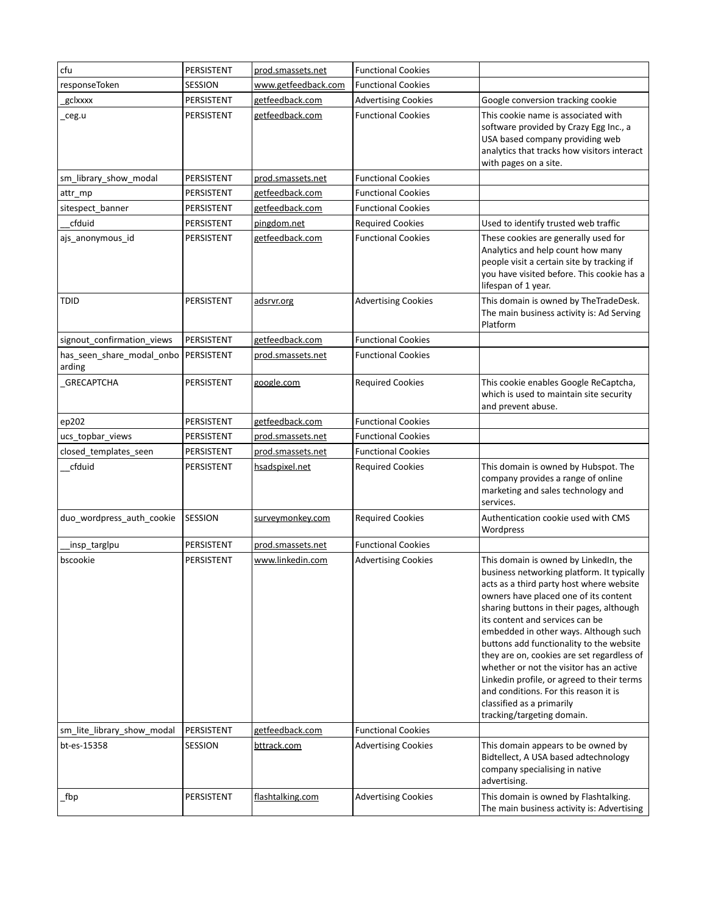| cfu                                 | PERSISTENT | prod.smassets.net   | <b>Functional Cookies</b>  |                                                                                                                                                                                                                                                                                                                                                                                                                                                                                                                                                                                          |
|-------------------------------------|------------|---------------------|----------------------------|------------------------------------------------------------------------------------------------------------------------------------------------------------------------------------------------------------------------------------------------------------------------------------------------------------------------------------------------------------------------------------------------------------------------------------------------------------------------------------------------------------------------------------------------------------------------------------------|
| responseToken                       | SESSION    | www.getfeedback.com | <b>Functional Cookies</b>  |                                                                                                                                                                                                                                                                                                                                                                                                                                                                                                                                                                                          |
| gclxxxx                             | PERSISTENT | getfeedback.com     | <b>Advertising Cookies</b> | Google conversion tracking cookie                                                                                                                                                                                                                                                                                                                                                                                                                                                                                                                                                        |
| _ceg.u                              | PERSISTENT | getfeedback.com     | <b>Functional Cookies</b>  | This cookie name is associated with<br>software provided by Crazy Egg Inc., a<br>USA based company providing web<br>analytics that tracks how visitors interact<br>with pages on a site.                                                                                                                                                                                                                                                                                                                                                                                                 |
| sm_library_show_modal               | PERSISTENT | prod.smassets.net   | <b>Functional Cookies</b>  |                                                                                                                                                                                                                                                                                                                                                                                                                                                                                                                                                                                          |
| attr mp                             | PERSISTENT | getfeedback.com     | <b>Functional Cookies</b>  |                                                                                                                                                                                                                                                                                                                                                                                                                                                                                                                                                                                          |
| sitespect_banner                    | PERSISTENT | getfeedback.com     | <b>Functional Cookies</b>  |                                                                                                                                                                                                                                                                                                                                                                                                                                                                                                                                                                                          |
| cfduid                              | PERSISTENT | pingdom.net         | <b>Required Cookies</b>    | Used to identify trusted web traffic                                                                                                                                                                                                                                                                                                                                                                                                                                                                                                                                                     |
| ajs_anonymous_id                    | PERSISTENT | getfeedback.com     | <b>Functional Cookies</b>  | These cookies are generally used for<br>Analytics and help count how many<br>people visit a certain site by tracking if<br>you have visited before. This cookie has a<br>lifespan of 1 year.                                                                                                                                                                                                                                                                                                                                                                                             |
| TDID                                | PERSISTENT | adsrvr.org          | <b>Advertising Cookies</b> | This domain is owned by TheTradeDesk.<br>The main business activity is: Ad Serving<br>Platform                                                                                                                                                                                                                                                                                                                                                                                                                                                                                           |
| signout_confirmation_views          | PERSISTENT | getfeedback.com     | <b>Functional Cookies</b>  |                                                                                                                                                                                                                                                                                                                                                                                                                                                                                                                                                                                          |
| has seen share modal onbo<br>arding | PERSISTENT | prod.smassets.net   | <b>Functional Cookies</b>  |                                                                                                                                                                                                                                                                                                                                                                                                                                                                                                                                                                                          |
| <b>GRECAPTCHA</b>                   | PERSISTENT | google.com          | <b>Required Cookies</b>    | This cookie enables Google ReCaptcha,<br>which is used to maintain site security<br>and prevent abuse.                                                                                                                                                                                                                                                                                                                                                                                                                                                                                   |
| ep202                               | PERSISTENT | getfeedback.com     | <b>Functional Cookies</b>  |                                                                                                                                                                                                                                                                                                                                                                                                                                                                                                                                                                                          |
| ucs_topbar_views                    | PERSISTENT | prod.smassets.net   | <b>Functional Cookies</b>  |                                                                                                                                                                                                                                                                                                                                                                                                                                                                                                                                                                                          |
| closed_templates_seen               | PERSISTENT | prod.smassets.net   | <b>Functional Cookies</b>  |                                                                                                                                                                                                                                                                                                                                                                                                                                                                                                                                                                                          |
| cfduid                              | PERSISTENT | hsadspixel.net      | <b>Required Cookies</b>    | This domain is owned by Hubspot. The<br>company provides a range of online<br>marketing and sales technology and<br>services.                                                                                                                                                                                                                                                                                                                                                                                                                                                            |
| duo_wordpress_auth_cookie           | SESSION    | surveymonkey.com    | <b>Required Cookies</b>    | Authentication cookie used with CMS<br>Wordpress                                                                                                                                                                                                                                                                                                                                                                                                                                                                                                                                         |
| insp_targlpu                        | PERSISTENT | prod.smassets.net   | <b>Functional Cookies</b>  |                                                                                                                                                                                                                                                                                                                                                                                                                                                                                                                                                                                          |
| bscookie                            | PERSISTENT | www.linkedin.com    | <b>Advertising Cookies</b> | This domain is owned by LinkedIn, the<br>business networking platform. It typically<br>acts as a third party host where website<br>owners have placed one of its content<br>sharing buttons in their pages, although<br>its content and services can be<br>embedded in other ways. Although such<br>buttons add functionality to the website<br>they are on, cookies are set regardless of<br>whether or not the visitor has an active<br>Linkedin profile, or agreed to their terms<br>and conditions. For this reason it is<br>classified as a primarily<br>tracking/targeting domain. |
| sm_lite_library_show_modal          | PERSISTENT | getfeedback.com     | <b>Functional Cookies</b>  |                                                                                                                                                                                                                                                                                                                                                                                                                                                                                                                                                                                          |
| bt-es-15358                         | SESSION    | bttrack.com         | <b>Advertising Cookies</b> | This domain appears to be owned by<br>Bidtellect, A USA based adtechnology<br>company specialising in native<br>advertising.                                                                                                                                                                                                                                                                                                                                                                                                                                                             |
| fbp                                 | PERSISTENT | flashtalking.com    | <b>Advertising Cookies</b> | This domain is owned by Flashtalking.<br>The main business activity is: Advertising                                                                                                                                                                                                                                                                                                                                                                                                                                                                                                      |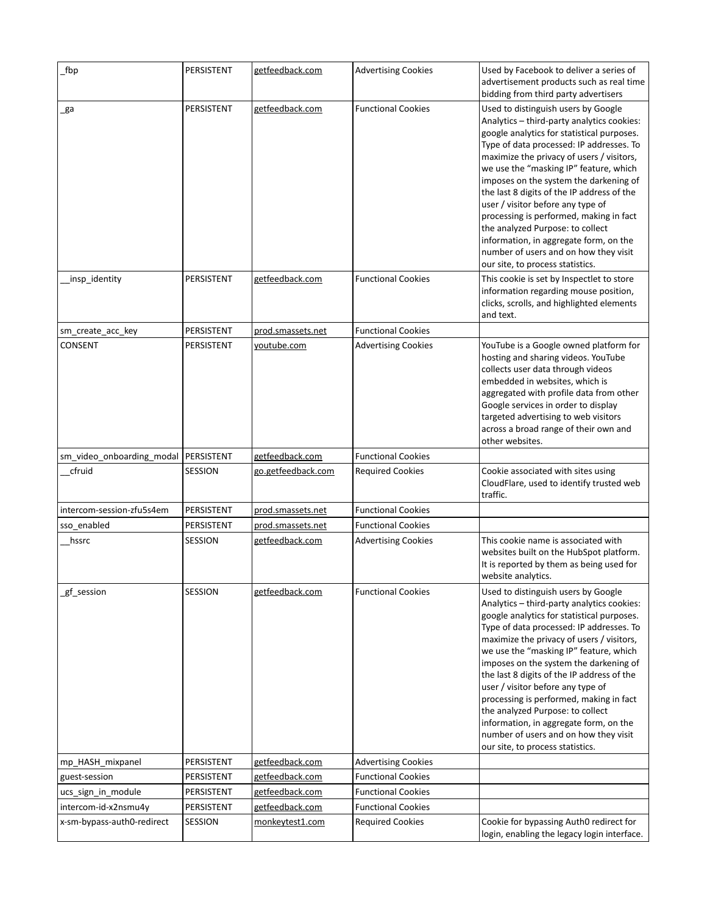| _fbp                                   | PERSISTENT | getfeedback.com    | <b>Advertising Cookies</b> | Used by Facebook to deliver a series of<br>advertisement products such as real time<br>bidding from third party advertisers                                                                                                                                                                                                                                                                                                                                                                                                                                                                           |
|----------------------------------------|------------|--------------------|----------------------------|-------------------------------------------------------------------------------------------------------------------------------------------------------------------------------------------------------------------------------------------------------------------------------------------------------------------------------------------------------------------------------------------------------------------------------------------------------------------------------------------------------------------------------------------------------------------------------------------------------|
| _ga                                    | PERSISTENT | getfeedback.com    | <b>Functional Cookies</b>  | Used to distinguish users by Google<br>Analytics - third-party analytics cookies:<br>google analytics for statistical purposes.<br>Type of data processed: IP addresses. To<br>maximize the privacy of users / visitors,<br>we use the "masking IP" feature, which<br>imposes on the system the darkening of<br>the last 8 digits of the IP address of the<br>user / visitor before any type of<br>processing is performed, making in fact<br>the analyzed Purpose: to collect<br>information, in aggregate form, on the<br>number of users and on how they visit<br>our site, to process statistics. |
| insp_identity                          | PERSISTENT | getfeedback.com    | <b>Functional Cookies</b>  | This cookie is set by Inspectlet to store<br>information regarding mouse position,<br>clicks, scrolls, and highlighted elements<br>and text.                                                                                                                                                                                                                                                                                                                                                                                                                                                          |
| sm_create_acc_key                      | PERSISTENT | prod.smassets.net  | <b>Functional Cookies</b>  |                                                                                                                                                                                                                                                                                                                                                                                                                                                                                                                                                                                                       |
| CONSENT                                | PERSISTENT | youtube.com        | <b>Advertising Cookies</b> | YouTube is a Google owned platform for<br>hosting and sharing videos. YouTube<br>collects user data through videos<br>embedded in websites, which is<br>aggregated with profile data from other<br>Google services in order to display<br>targeted advertising to web visitors<br>across a broad range of their own and<br>other websites.                                                                                                                                                                                                                                                            |
| sm_video_onboarding_modal   PERSISTENT |            | getfeedback.com    | <b>Functional Cookies</b>  |                                                                                                                                                                                                                                                                                                                                                                                                                                                                                                                                                                                                       |
| cfruid                                 | SESSION    | go.getfeedback.com | <b>Required Cookies</b>    | Cookie associated with sites using<br>CloudFlare, used to identify trusted web<br>traffic.                                                                                                                                                                                                                                                                                                                                                                                                                                                                                                            |
| intercom-session-zfu5s4em              | PERSISTENT | prod.smassets.net  | <b>Functional Cookies</b>  |                                                                                                                                                                                                                                                                                                                                                                                                                                                                                                                                                                                                       |
| sso enabled                            | PERSISTENT | prod.smassets.net  | <b>Functional Cookies</b>  |                                                                                                                                                                                                                                                                                                                                                                                                                                                                                                                                                                                                       |
| hssrc                                  | SESSION    | getfeedback.com    | <b>Advertising Cookies</b> | This cookie name is associated with<br>websites built on the HubSpot platform.<br>It is reported by them as being used for<br>website analytics.                                                                                                                                                                                                                                                                                                                                                                                                                                                      |
| gf_session                             | SESSION    | getfeedback.com    | <b>Functional Cookies</b>  | Used to distinguish users by Google<br>Analytics - third-party analytics cookies:<br>google analytics for statistical purposes.<br>Type of data processed: IP addresses. To<br>maximize the privacy of users / visitors,<br>we use the "masking IP" feature, which<br>imposes on the system the darkening of<br>the last 8 digits of the IP address of the<br>user / visitor before any type of<br>processing is performed, making in fact<br>the analyzed Purpose: to collect<br>information, in aggregate form, on the<br>number of users and on how they visit<br>our site, to process statistics. |
| mp_HASH_mixpanel                       | PERSISTENT | getfeedback.com    | <b>Advertising Cookies</b> |                                                                                                                                                                                                                                                                                                                                                                                                                                                                                                                                                                                                       |
| guest-session                          | PERSISTENT | getfeedback.com    | <b>Functional Cookies</b>  |                                                                                                                                                                                                                                                                                                                                                                                                                                                                                                                                                                                                       |
| ucs_sign_in_module                     | PERSISTENT | getfeedback.com    | <b>Functional Cookies</b>  |                                                                                                                                                                                                                                                                                                                                                                                                                                                                                                                                                                                                       |
| intercom-id-x2nsmu4y                   | PERSISTENT | getfeedback.com    | <b>Functional Cookies</b>  |                                                                                                                                                                                                                                                                                                                                                                                                                                                                                                                                                                                                       |
| x-sm-bypass-auth0-redirect             | SESSION    | monkeytest1.com    | <b>Required Cookies</b>    | Cookie for bypassing Auth0 redirect for<br>login, enabling the legacy login interface.                                                                                                                                                                                                                                                                                                                                                                                                                                                                                                                |